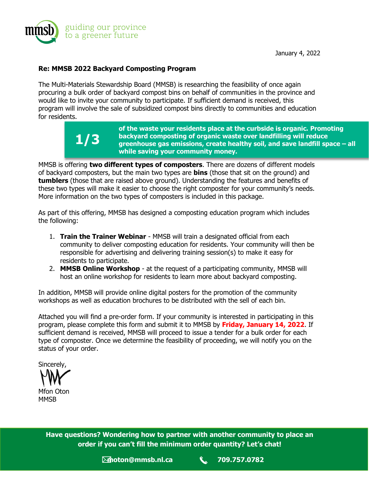

January 4, 2022

### **Re: MMSB 2022 Backyard Composting Program**

The Multi-Materials Stewardship Board (MMSB) is researching the feasibility of once again procuring a bulk order of backyard compost bins on behalf of communities in the province and would like to invite your community to participate. If sufficient demand is received, this program will involve the sale of subsidized compost bins directly to communities and education for residents.



MMSB is offering **two different types of composters**. There are dozens of different models of backyard composters, but the main two types are **bins** (those that sit on the ground) and **tumblers** (those that are raised above ground). Understanding the features and benefits of these two types will make it easier to choose the right composter for your community's needs. More information on the two types of composters is included in this package.

As part of this offering, MMSB has designed a composting education program which includes the following:

- 1. **Train the Trainer Webinar** MMSB will train a designated official from each community to deliver composting education for residents. Your community will then be responsible for advertising and delivering training session(s) to make it easy for residents to participate.
- 2. **MMSB Online Workshop** at the request of a participating community, MMSB will host an online workshop for residents to learn more about backyard composting.

In addition, MMSB will provide online digital posters for the promotion of the community workshops as well as education brochures to be distributed with the sell of each bin.

Attached you will find a pre-order form. If your community is interested in participating in this program, please complete this form and submit it to MMSB by **Friday, January 14, 2022**. If sufficient demand is received, MMSB will proceed to issue a tender for a bulk order for each type of composter. Once we determine the feasibility of proceeding, we will notify you on the status of your order.

Sincerely, Mfon Oton **MMSB** 

**Have questions? Wondering how to partner with another community to place an order if you can't fill the minimum order quantity? Let's chat!**

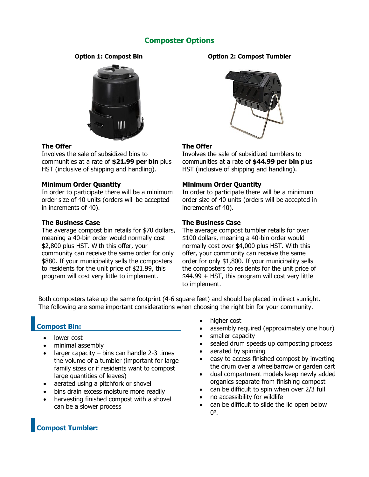## **Composter Options**



#### **The Offer**

Involves the sale of subsidized bins to communities at a rate of **\$21.99 per bin** plus HST (inclusive of shipping and handling).

#### **Minimum Order Quantity**

In order to participate there will be a minimum order size of 40 units (orders will be accepted in increments of 40).

#### **The Business Case**

The average compost bin retails for \$70 dollars, meaning a 40-bin order would normally cost \$2,800 plus HST. With this offer, your community can receive the same order for only \$880. If your municipality sells the composters to residents for the unit price of \$21.99, this program will cost very little to implement.

#### **Option 1: Compost Bin Option 2: Compost Tumbler**



#### **The Offer**

Involves the sale of subsidized tumblers to communities at a rate of **\$44.99 per bin** plus HST (inclusive of shipping and handling).

#### **Minimum Order Quantity**

In order to participate there will be a minimum order size of 40 units (orders will be accepted in increments of 40).

#### **The Business Case**

The average compost tumbler retails for over \$100 dollars, meaning a 40-bin order would normally cost over \$4,000 plus HST. With this offer, your community can receive the same order for only \$1,800. If your municipality sells the composters to residents for the unit price of \$44.99 + HST, this program will cost very little to implement.

Both composters take up the same footprint (4-6 square feet) and should be placed in direct sunlight. The following are some important considerations when choosing the right bin for your community.

# **Compost Bin:**

- lower cost
- minimal assembly
- larger capacity  $-$  bins can handle 2-3 times the volume of a tumbler (important for large family sizes or if residents want to compost large quantities of leaves)
- aerated using a pitchfork or shovel
- bins drain excess moisture more readily
- harvesting finished compost with a shovel can be a slower process
- higher cost
- assembly required (approximately one hour)
- smaller capacity
- sealed drum speeds up composting process
- aerated by spinning
- easy to access finished compost by inverting the drum over a wheelbarrow or garden cart
- dual compartment models keep newly added organics separate from finishing compost
- can be difficult to spin when over 2/3 full
- no accessibility for wildlife
- can be difficult to slide the lid open below  $0^{\circ}$ .

**Compost Tumbler:**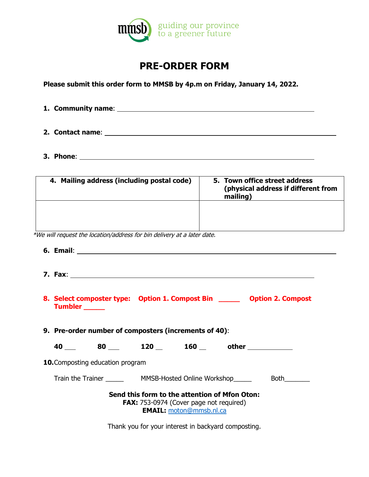

# **PRE-ORDER FORM**

**Please submit this order form to MMSB by 4p.m on Friday, January 14, 2022.** 

| 1. Community name: _ |  |
|----------------------|--|
|                      |  |
|                      |  |
| 2. Contact name:     |  |
|                      |  |
|                      |  |

**3. Phone**:

| 4. Mailing address (including postal code) | 5. Town office street address<br>(physical address if different from<br>mailing) |
|--------------------------------------------|----------------------------------------------------------------------------------|
|                                            |                                                                                  |

\*We will request the location/address for bin delivery at a later date.

|                                                       | 8. Select composter type: Option 1. Compost Bin _______ Option 2. Compost<br><b>Tumbler</b> |  |  |  |  |                     |  |  |  |  |
|-------------------------------------------------------|---------------------------------------------------------------------------------------------|--|--|--|--|---------------------|--|--|--|--|
| 9. Pre-order number of composters (increments of 40): |                                                                                             |  |  |  |  |                     |  |  |  |  |
|                                                       |                                                                                             |  |  |  |  | 40 80 120 160 other |  |  |  |  |
| <b>10.</b> Composting education program               |                                                                                             |  |  |  |  |                     |  |  |  |  |

Train the Trainer \_\_\_\_\_\_\_\_\_\_\_\_\_ MMSB-Hosted Online Workshop\_\_\_\_\_\_\_\_\_\_\_\_\_\_ Both\_\_\_\_\_\_\_

**Send this form to the attention of Mfon Oton: FAX:** 753-0974 (Cover page not required) **EMAIL:** [moton@mmsb.nl.ca](mailto:moton@mmsb.nl.ca)

Thank you for your interest in backyard composting.